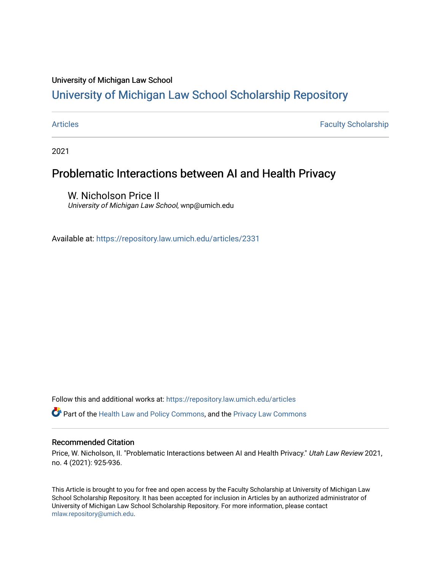# University of Michigan Law School

# [University of Michigan Law School Scholarship Repository](https://repository.law.umich.edu/)

[Articles](https://repository.law.umich.edu/articles) **Faculty Scholarship** Faculty Scholarship

2021

# Problematic Interactions between AI and Health Privacy

W. Nicholson Price II University of Michigan Law School, wnp@umich.edu

Available at: <https://repository.law.umich.edu/articles/2331>

Follow this and additional works at: [https://repository.law.umich.edu/articles](https://repository.law.umich.edu/articles?utm_source=repository.law.umich.edu%2Farticles%2F2331&utm_medium=PDF&utm_campaign=PDFCoverPages) 

**C**<sup> $\bullet$ </sup> Part of the [Health Law and Policy Commons](http://network.bepress.com/hgg/discipline/901?utm_source=repository.law.umich.edu%2Farticles%2F2331&utm_medium=PDF&utm_campaign=PDFCoverPages), and the Privacy Law Commons

## Recommended Citation

Price, W. Nicholson, II. "Problematic Interactions between AI and Health Privacy." Utah Law Review 2021, no. 4 (2021): 925-936.

This Article is brought to you for free and open access by the Faculty Scholarship at University of Michigan Law School Scholarship Repository. It has been accepted for inclusion in Articles by an authorized administrator of University of Michigan Law School Scholarship Repository. For more information, please contact [mlaw.repository@umich.edu.](mailto:mlaw.repository@umich.edu)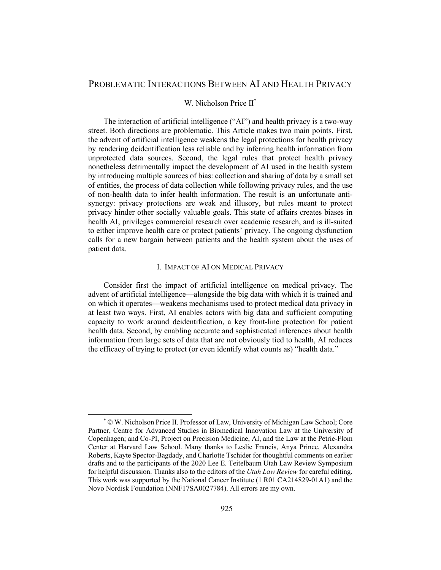# PROBLEMATIC INTERACTIONS BETWEEN AI AND HEALTH PRIVACY

# W. Nicholson Price  $II^*$

The interaction of artificial intelligence ("AI") and health privacy is a two-way street. Both directions are problematic. This Article makes two main points. First, the advent of artificial intelligence weakens the legal protections for health privacy by rendering deidentification less reliable and by inferring health information from unprotected data sources. Second, the legal rules that protect health privacy nonetheless detrimentally impact the development of AI used in the health system by introducing multiple sources of bias: collection and sharing of data by a small set of entities, the process of data collection while following privacy rules, and the use of non-health data to infer health information. The result is an unfortunate antisynergy: privacy protections are weak and illusory, but rules meant to protect privacy hinder other socially valuable goals. This state of affairs creates biases in health AI, privileges commercial research over academic research, and is ill-suited to either improve health care or protect patients' privacy. The ongoing dysfunction calls for a new bargain between patients and the health system about the uses of patient data.

# I. IMPACT OF AI ON MEDICAL PRIVACY

Consider first the impact of artificial intelligence on medical privacy. The advent of artificial intelligence—alongside the big data with which it is trained and on which it operates—weakens mechanisms used to protect medical data privacy in at least two ways. First, AI enables actors with big data and sufficient computing capacity to work around deidentification, a key front-line protection for patient health data. Second, by enabling accurate and sophisticated inferences about health information from large sets of data that are not obviously tied to health, AI reduces the efficacy of trying to protect (or even identify what counts as) "health data."

<sup>\*</sup> © W. Nicholson Price II. Professor of Law, University of Michigan Law School; Core Partner, Centre for Advanced Studies in Biomedical Innovation Law at the University of Copenhagen; and Co-PI, Project on Precision Medicine, AI, and the Law at the Petrie-Flom Center at Harvard Law School. Many thanks to Leslie Francis, Anya Prince, Alexandra Roberts, Kayte Spector-Bagdady, and Charlotte Tschider for thoughtful comments on earlier drafts and to the participants of the 2020 Lee E. Teitelbaum Utah Law Review Symposium for helpful discussion. Thanks also to the editors of the *Utah Law Review* for careful editing. This work was supported by the National Cancer Institute (1 R01 CA214829-01A1) and the Novo Nordisk Foundation (NNF17SA0027784). All errors are my own.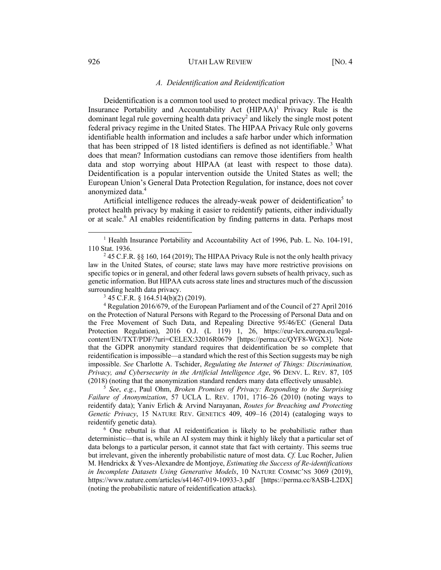# *A. Deidentification and Reidentification*

Deidentification is a common tool used to protect medical privacy. The Health Insurance Portability and Accountability Act  $(HIPAA)^1$  Privacy Rule is the dominant legal rule governing health data privacy<sup>2</sup> and likely the single most potent federal privacy regime in the United States. The HIPAA Privacy Rule only governs identifiable health information and includes a safe harbor under which information that has been stripped of 18 listed identifiers is defined as not identifiable.<sup>3</sup> What does that mean? Information custodians can remove those identifiers from health data and stop worrying about HIPAA (at least with respect to those data). Deidentification is a popular intervention outside the United States as well; the European Union's General Data Protection Regulation, for instance, does not cover anonymized data.<sup>4</sup>

Artificial intelligence reduces the already-weak power of deidentification<sup>5</sup> to protect health privacy by making it easier to reidentify patients, either individually or at scale.<sup>6</sup> AI enables reidentification by finding patterns in data. Perhaps most

 $3$  45 C.F.R. § 164.514(b)(2) (2019).

<sup>4</sup> Regulation 2016/679, of the European Parliament and of the Council of 27 April 2016 on the Protection of Natural Persons with Regard to the Processing of Personal Data and on the Free Movement of Such Data, and Repealing Directive 95/46/EC (General Data Protection Regulation), 2016 O.J. (L 119) 1, 26, https://eur-lex.europa.eu/legalcontent/EN/TXT/PDF/?uri=CELEX:32016R0679 [https://perma.cc/QYF8-WGX3]. Note that the GDPR anonymity standard requires that deidentification be so complete that reidentification is impossible—a standard which the rest of this Section suggests may be nigh impossible. *See* Charlotte A. Tschider, *Regulating the Internet of Things: Discrimination, Privacy, and Cybersecurity in the Artificial Intelligence Age*, 96 DENV. L. REV. 87, 105 (2018) (noting that the anonymization standard renders many data effectively unusable).

<sup>5</sup> *See*, *e.g.*, Paul Ohm, *Broken Promises of Privacy: Responding to the Surprising Failure of Anonymization*, 57 UCLA L. REV. 1701, 1716–26 (2010) (noting ways to reidentify data); Yaniv Erlich & Arvind Narayanan, *Routes for Breaching and Protecting Genetic Privacy*, 15 NATURE REV. GENETICS 409, 409–16 (2014) (cataloging ways to reidentify genetic data).

 $6$  One rebuttal is that AI reidentification is likely to be probabilistic rather than deterministic—that is, while an AI system may think it highly likely that a particular set of data belongs to a particular person, it cannot state that fact with certainty. This seems true but irrelevant, given the inherently probabilistic nature of most data. *Cf.* Luc Rocher, Julien M. Hendrickx & Yves-Alexandre de Montjoye, *Estimating the Success of Re-identifications in Incomplete Datasets Using Generative Models*, 10 NATURE COMMC'NS 3069 (2019), https://www.nature.com/articles/s41467-019-10933-3.pdf [https://perma.cc/8ASB-L2DX] (noting the probabilistic nature of reidentification attacks).

<sup>&</sup>lt;sup>1</sup> Health Insurance Portability and Accountability Act of 1996, Pub. L. No. 104-191, 110 Stat. 1936.

<sup>&</sup>lt;sup>2</sup> 45 C.F.R. §§ 160, 164 (2019); The HIPAA Privacy Rule is not the only health privacy law in the United States, of course; state laws may have more restrictive provisions on specific topics or in general, and other federal laws govern subsets of health privacy, such as genetic information. But HIPAA cuts across state lines and structures much of the discussion surrounding health data privacy.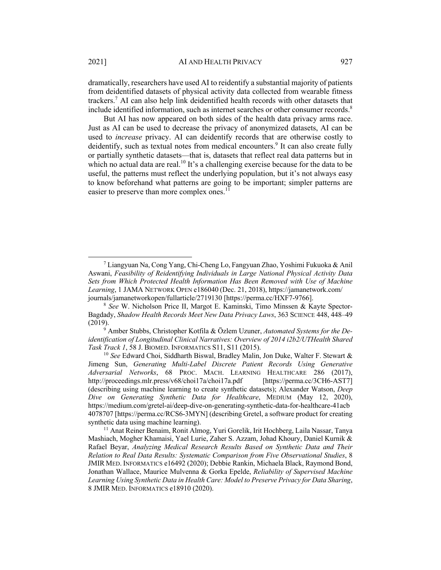dramatically, researchers have used AI to reidentify a substantial majority of patients from deidentified datasets of physical activity data collected from wearable fitness trackers.7 AI can also help link deidentified health records with other datasets that include identified information, such as internet searches or other consumer records.<sup>8</sup>

But AI has now appeared on both sides of the health data privacy arms race. Just as AI can be used to decrease the privacy of anonymized datasets, AI can be used to *increase* privacy. AI can deidentify records that are otherwise costly to deidentify, such as textual notes from medical encounters.<sup>9</sup> It can also create fully or partially synthetic datasets—that is, datasets that reflect real data patterns but in which no actual data are real.<sup>10</sup> It's a challenging exercise because for the data to be useful, the patterns must reflect the underlying population, but it's not always easy to know beforehand what patterns are going to be important; simpler patterns are easier to preserve than more complex ones. $^{11}$ 

<sup>7</sup> Liangyuan Na, Cong Yang, Chi-Cheng Lo, Fangyuan Zhao, Yoshimi Fukuoka & Anil Aswani, *Feasibility of Reidentifying Individuals in Large National Physical Activity Data Sets from Which Protected Health Information Has Been Removed with Use of Machine Learning*, 1 JAMA NETWORK OPEN e186040 (Dec. 21, 2018), https://jamanetwork.com/ journals/jamanetworkopen/fullarticle/2719130 [https://perma.cc/HXF7-9766].

<sup>8</sup> *See* W. Nicholson Price II, Margot E. Kaminski, Timo Minssen & Kayte Spector-Bagdady, *Shadow Health Records Meet New Data Privacy Laws*, 363 SCIENCE 448, 448–49 (2019).

<sup>9</sup> Amber Stubbs, Christopher Kotfila & Özlem Uzuner, *Automated Systems for the Deidentification of Longitudinal Clinical Narratives: Overview of 2014 i2b2/UTHealth Shared Task Track 1*, 58 J. BIOMED. INFORMATICS S11, S11 (2015).

<sup>10</sup> *See* Edward Choi, Siddharth Biswal, Bradley Malin, Jon Duke, Walter F. Stewart & Jimeng Sun, *Generating Multi-Label Discrete Patient Records Using Generative Adversarial Networks*, 68 PROC. MACH. LEARNING HEALTHCARE 286 (2017), http://proceedings.mlr.press/v68/choi17a/choi17a.pdf [https://perma.cc/3CH6-AST7] (describing using machine learning to create synthetic datasets); Alexander Watson, *Deep Dive on Generating Synthetic Data for Healthcare*, MEDIUM (May 12, 2020), https://medium.com/gretel-ai/deep-dive-on-generating-synthetic-data-for-healthcare-41acb 4078707 [https://perma.cc/RCS6-3MYN] (describing Gretel, a software product for creating synthetic data using machine learning).

<sup>&</sup>lt;sup>11</sup> Anat Reiner Benaim, Ronit Almog, Yuri Gorelik, Irit Hochberg, Laila Nassar, Tanya Mashiach, Mogher Khamaisi, Yael Lurie, Zaher S. Azzam, Johad Khoury, Daniel Kurnik & Rafael Beyar, *Analyzing Medical Research Results Based on Synthetic Data and Their Relation to Real Data Results: Systematic Comparison from Five Observational Studies*, 8 JMIR MED. INFORMATICS e16492 (2020); Debbie Rankin, Michaela Black, Raymond Bond, Jonathan Wallace, Maurice Mulvenna & Gorka Epelde, *Reliability of Supervised Machine Learning Using Synthetic Data in Health Care: Model to Preserve Privacy for Data Sharing*, 8 JMIR MED. INFORMATICS e18910 (2020).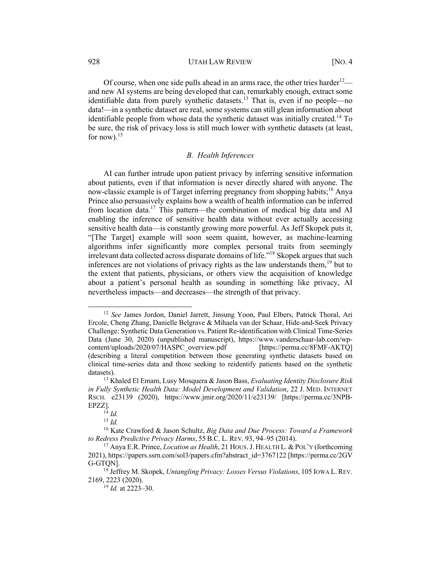Of course, when one side pulls ahead in an arms race, the other tries harder<sup>12</sup> and new AI systems are being developed that can, remarkably enough, extract some identifiable data from purely synthetic datasets.<sup>13</sup> That is, even if no people—no data!—in a synthetic dataset are real, some systems can still glean information about identifiable people from whose data the synthetic dataset was initially created.<sup>14</sup> To be sure, the risk of privacy loss is still much lower with synthetic datasets (at least, for now). $15$ 

# *B. Health Inferences*

AI can further intrude upon patient privacy by inferring sensitive information about patients, even if that information is never directly shared with anyone. The now-classic example is of Target inferring pregnancy from shopping habits; <sup>16</sup> Anya Prince also persuasively explains how a wealth of health information can be inferred from location data.<sup>17</sup> This pattern—the combination of medical big data and AI enabling the inference of sensitive health data without ever actually accessing sensitive health data—is constantly growing more powerful. As Jeff Skopek puts it, "[The Target] example will soon seem quaint, however, as machine-learning algorithms infer significantly more complex personal traits from seemingly irrelevant data collected across disparate domains of life."18 Skopek argues that such inferences are not violations of privacy rights as the law understands them,  $19$  but to the extent that patients, physicians, or others view the acquisition of knowledge about a patient's personal health as sounding in something like privacy, AI nevertheless impacts—and decreases—the strength of that privacy.

<sup>12</sup> *See* James Jordon, Daniel Jarrett, Jinsung Yoon, Paul Elbers, Patrick Thoral, Ari Ercole, Cheng Zhang, Danielle Belgrave & Mihaela van der Schaar, Hide-and-Seek Privacy Challenge: Synthetic Data Generation vs. Patient Re-identification with Clinical Time-Series Data (June 30, 2020) (unpublished manuscript), https://www.vanderschaar-lab.com/wpcontent/uploads/2020/07/HASPC\_overview.pdf [https://perma.cc/8FMF-AKTQ] (describing a literal competition between those generating synthetic datasets based on clinical time-series data and those seeking to reidentify patients based on the synthetic datasets).

<sup>13</sup> Khaled El Emam, Lusy Mosquera & Jason Bass, *Evaluating Identity Disclosure Risk in Fully Synthetic Health Data: Model Development and Validation*, 22 J. MED. INTERNET RSCH. e23139 (2020), https://www.jmir.org/2020/11/e23139/ [https://perma.cc/3NPB-EPZZ].

<sup>14</sup> *Id.*

<sup>15</sup> *Id.*

<sup>16</sup> Kate Crawford & Jason Schultz, *Big Data and Due Process: Toward a Framework to Redress Predictive Privacy Harms*, 55 B.C. L. REV. 93, 94–95 (2014).

<sup>17</sup> Anya E.R. Prince, *Location as Health*, 21 HOUS.J. HEALTH L. & POL'Y (forthcoming 2021), https://papers.ssrn.com/sol3/papers.cfm?abstract\_id=3767122 [https://perma.cc/2GV G-GTQN].

<sup>18</sup> Jeffrey M. Skopek, *Untangling Privacy: Losses Versus Violations*, 105 IOWA L.REV. 2169, 2223 (2020).

<sup>19</sup> *Id.* at 2223–30.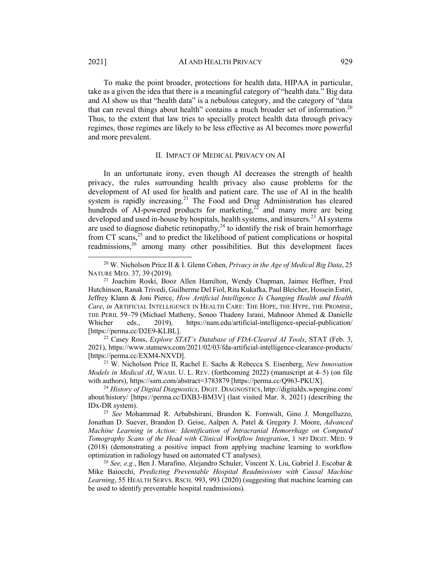To make the point broader, protections for health data, HIPAA in particular, take as a given the idea that there is a meaningful category of "health data." Big data and AI show us that "health data" is a nebulous category, and the category of "data that can reveal things about health" contains a much broader set of information.<sup>20</sup> Thus, to the extent that law tries to specially protect health data through privacy regimes, those regimes are likely to be less effective as AI becomes more powerful and more prevalent.

### II. IMPACT OF MEDICAL PRIVACY ON AI

In an unfortunate irony, even though AI decreases the strength of health privacy, the rules surrounding health privacy also cause problems for the development of AI used for health and patient care. The use of AI in the health system is rapidly increasing.<sup>21</sup> The Food and Drug Administration has cleared hundreds of AI-powered products for marketing,<sup>22</sup> and many more are being developed and used in-house by hospitals, health systems, and insurers.<sup>23</sup> AI systems are used to diagnose diabetic retinopathy, $24$  to identify the risk of brain hemorrhage from CT scans,<sup>25</sup> and to predict the likelihood of patient complications or hospital readmissions,<sup>26</sup> among many other possibilities. But this development faces

<sup>22</sup> Casey Ross, *Explore STAT's Database of FDA-Cleared AI Tools*, STAT (Feb. 3, 2021), https://www.statnews.com/2021/02/03/fda-artificial-intelligence-clearance-products/ [https://perma.cc/EXM4-NXVD].

<sup>23</sup> W. Nicholson Price II, Rachel E. Sachs & Rebecca S. Eisenberg, *New Innovation Models in Medical AI*, WASH. U. L. REV. (forthcoming 2022) (manuscript at 4–5) (on file with authors), https://ssrn.com/abstract=3783879 [https://perma.cc/Q963-PKUX].

<sup>20</sup> W. Nicholson Price II & I. Glenn Cohen, *Privacy in the Age of Medical Big Data*, 25 NATURE MED. 37, 39 (2019).

<sup>21</sup> Joachim Roski, Booz Allen Hamilton, Wendy Chapman, Jaimee Heffner, Fred Hutchinson, Ranak Trivedi, Guilherme Del Fiol, Rita Kukafka, Paul Bleicher, Hossein Estiri, Jeffrey Klann & Joni Pierce, *How Artificial Intelligence Is Changing Health and Health Care*, *in* ARTIFICIAL INTELLIGENCE IN HEALTH CARE: THE HOPE, THE HYPE, THE PROMISE, THE PERIL 59–79 (Michael Matheny, Sonoo Thadeny Israni, Mahnoor Ahmed & Danielle Whicher eds., 2019), https://nam.edu/artificial-intelligence-special-publication/ [https://perma.cc/D2E9-KLBL].

<sup>24</sup> *History of Digital Diagnostics*, DIGIT. DIAGNOSTICS, http://digitaldx.wpengine.com/ about/history/ [https://perma.cc/DXB3-BM3V] (last visited Mar. 8, 2021) (describing the IDx-DR system).

<sup>25</sup> *See* Mohammad R. Arbabshirani, Brandon K. Fornwalt, Gino J. Mongelluzzo, Jonathan D. Suever, Brandon D. Geise, Aalpen A. Patel & Gregory J. Moore, *Advanced Machine Learning in Action: Identification of Intracranial Hemorrhage on Computed Tomography Scans of the Head with Clinical Workflow Integration*, 1 NPJ DIGIT. MED. 9 (2018) (demonstrating a positive impact from applying machine learning to workflow optimization in radiology based on automated CT analyses).

<sup>26</sup> *See, e.g.*, Ben J. Marafino, Alejandro Schuler, Vincent X. Liu, Gabriel J. Escobar & Mike Baiocchi, *Predicting Preventable Hospital Readmissions with Causal Machine Learning*, 55 HEALTH SERVS. RSCH. 993, 993 (2020) (suggesting that machine learning can be used to identify preventable hospital readmissions).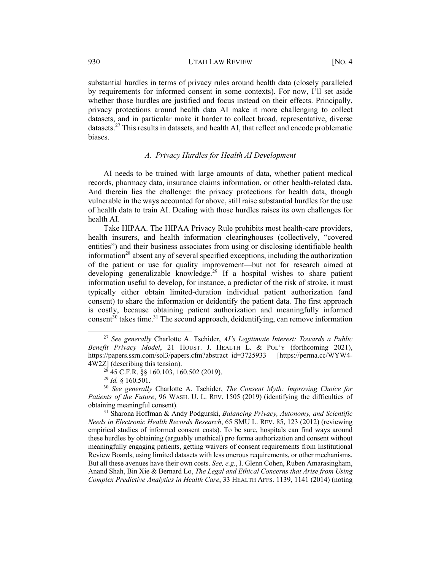substantial hurdles in terms of privacy rules around health data (closely paralleled by requirements for informed consent in some contexts). For now, I'll set aside whether those hurdles are justified and focus instead on their effects. Principally, privacy protections around health data AI make it more challenging to collect datasets, and in particular make it harder to collect broad, representative, diverse datasets.<sup>27</sup> This results in datasets, and health AI, that reflect and encode problematic biases.

# *A. Privacy Hurdles for Health AI Development*

AI needs to be trained with large amounts of data, whether patient medical records, pharmacy data, insurance claims information, or other health-related data. And therein lies the challenge: the privacy protections for health data, though vulnerable in the ways accounted for above, still raise substantial hurdles for the use of health data to train AI. Dealing with those hurdles raises its own challenges for health AI.

Take HIPAA. The HIPAA Privacy Rule prohibits most health-care providers, health insurers, and health information clearinghouses (collectively, "covered entities") and their business associates from using or disclosing identifiable health information<sup>28</sup> absent any of several specified exceptions, including the authorization of the patient or use for quality improvement—but not for research aimed at developing generalizable knowledge.<sup>29</sup> If a hospital wishes to share patient information useful to develop, for instance, a predictor of the risk of stroke, it must typically either obtain limited-duration individual patient authorization (and consent) to share the information or deidentify the patient data. The first approach is costly, because obtaining patient authorization and meaningfully informed consent<sup>30</sup> takes time.<sup>31</sup> The second approach, deidentifying, can remove information

<sup>27</sup> *See generally* Charlotte A. Tschider, *AI's Legitimate Interest: Towards a Public Benefit Privacy Model*, 21 HOUST. J. HEALTH L. & POL'Y (forthcoming 2021), https://papers.ssrn.com/sol3/papers.cfm?abstract\_id=3725933 [https://perma.cc/WYW4- 4W2Z] (describing this tension).

 $^{28}$  45 C.F.R. §§ 160.103, 160.502 (2019).

<sup>29</sup> *Id.* § 160.501.

<sup>30</sup> *See generally* Charlotte A. Tschider, *The Consent Myth: Improving Choice for Patients of the Future*, 96 WASH. U. L. REV. 1505 (2019) (identifying the difficulties of obtaining meaningful consent).

<sup>31</sup> Sharona Hoffman & Andy Podgurski, *Balancing Privacy, Autonomy, and Scientific Needs in Electronic Health Records Research*, 65 SMU L. REV. 85, 123 (2012) (reviewing empirical studies of informed consent costs). To be sure, hospitals can find ways around these hurdles by obtaining (arguably unethical) pro forma authorization and consent without meaningfully engaging patients, getting waivers of consent requirements from Institutional Review Boards, using limited datasets with less onerous requirements, or other mechanisms. But all these avenues have their own costs. *See, e.g.*, I. Glenn Cohen, Ruben Amarasingham, Anand Shah, Bin Xie & Bernard Lo, *The Legal and Ethical Concerns that Arise from Using Complex Predictive Analytics in Health Care*, 33 HEALTH AFFS. 1139, 1141 (2014) (noting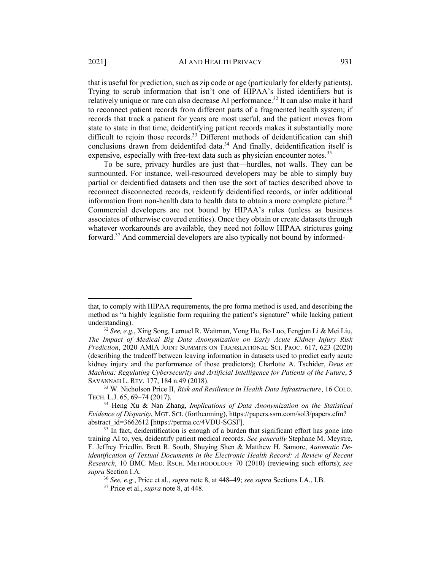that is useful for prediction, such as zip code or age (particularly for elderly patients). Trying to scrub information that isn't one of HIPAA's listed identifiers but is relatively unique or rare can also decrease AI performance.<sup>32</sup> It can also make it hard to reconnect patient records from different parts of a fragmented health system; if records that track a patient for years are most useful, and the patient moves from state to state in that time, deidentifying patient records makes it substantially more difficult to rejoin those records.<sup>33</sup> Different methods of deidentification can shift conclusions drawn from deidentifed data.<sup>34</sup> And finally, deidentification itself is expensive, especially with free-text data such as physician encounter notes.<sup>35</sup>

To be sure, privacy hurdles are just that—hurdles, not walls. They can be surmounted. For instance, well-resourced developers may be able to simply buy partial or deidentified datasets and then use the sort of tactics described above to reconnect disconnected records, reidentify deidentified records, or infer additional information from non-health data to health data to obtain a more complete picture.<sup>36</sup> Commercial developers are not bound by HIPAA's rules (unless as business associates of otherwise covered entities). Once they obtain or create datasets through whatever workarounds are available, they need not follow HIPAA strictures going forward.<sup>37</sup> And commercial developers are also typically not bound by informed-

that, to comply with HIPAA requirements, the pro forma method is used, and describing the method as "a highly legalistic form requiring the patient's signature" while lacking patient understanding).

<sup>32</sup> *See, e.g.*, Xing Song, Lemuel R. Waitman, Yong Hu, Bo Luo, Fengjun Li & Mei Liu, *The Impact of Medical Big Data Anonymization on Early Acute Kidney Injury Risk Prediction*, 2020 AMIA JOINT SUMMITS ON TRANSLATIONAL SCI. PROC. 617, 623 (2020) (describing the tradeoff between leaving information in datasets used to predict early acute kidney injury and the performance of those predictors); Charlotte A. Tschider, *Deus ex Machina: Regulating Cybersecurity and Artificial Intelligence for Patients of the Future*, 5 SAVANNAH L. REV. 177, 184 n.49 (2018).

<sup>33</sup> W. Nicholson Price II, *Risk and Resilience in Health Data Infrastructure*, 16 COLO. TECH. L.J. 65, 69–74 (2017).

<sup>34</sup> Heng Xu & Nan Zhang, *Implications of Data Anonymization on the Statistical Evidence of Disparity*, MGT. SCI. (forthcoming), https://papers.ssrn.com/sol3/papers.cfm? abstract\_id=3662612 [https://perma.cc/4VDU-SGSF].

 $35$  In fact, deidentification is enough of a burden that significant effort has gone into training AI to, yes, deidentify patient medical records. *See generally* Stephane M. Meystre, F. Jeffrey Friedlin, Brett R. South, Shuying Shen & Matthew H. Samore, *Automatic Deidentification of Textual Documents in the Electronic Health Record: A Review of Recent Research*, 10 BMC MED. RSCH. METHODOLOGY 70 (2010) (reviewing such efforts); *see supra* Section I.A.

<sup>36</sup> *See, e.g.*, Price et al., *supra* note 8, at 448–49; *see supra* Sections I.A., I.B.

<sup>37</sup> Price et al., *supra* note 8, at 448.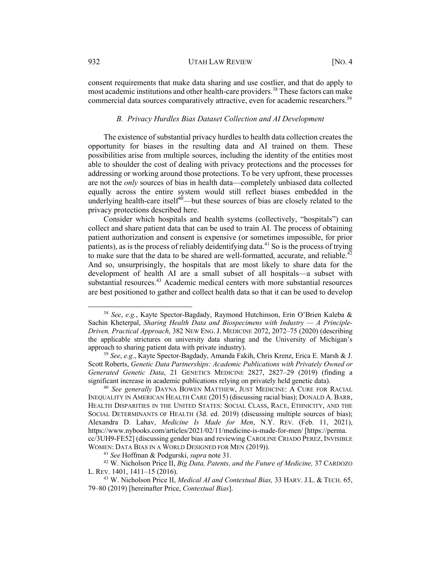consent requirements that make data sharing and use costlier, and that do apply to most academic institutions and other health-care providers.<sup>38</sup> These factors can make commercial data sources comparatively attractive, even for academic researchers.<sup>39</sup>

#### *B. Privacy Hurdles Bias Dataset Collection and AI Development*

The existence of substantial privacy hurdles to health data collection creates the opportunity for biases in the resulting data and AI trained on them. These possibilities arise from multiple sources, including the identity of the entities most able to shoulder the cost of dealing with privacy protections and the processes for addressing or working around those protections. To be very upfront, these processes are not the *only* sources of bias in health data—completely unbiased data collected equally across the entire system would still reflect biases embedded in the underlying health-care itself $40$ —but these sources of bias are closely related to the privacy protections described here.

Consider which hospitals and health systems (collectively, "hospitals") can collect and share patient data that can be used to train AI. The process of obtaining patient authorization and consent is expensive (or sometimes impossible, for prior patients), as is the process of reliably deidentifying data.<sup>41</sup> So is the process of trying to make sure that the data to be shared are well-formatted, accurate, and reliable.<sup>42</sup> And so, unsurprisingly, the hospitals that are most likely to share data for the development of health AI are a small subset of all hospitals—a subset with substantial resources.<sup>43</sup> Academic medical centers with more substantial resources are best positioned to gather and collect health data so that it can be used to develop

<sup>38</sup> *See*, *e.g.*, Kayte Spector-Bagdady, Raymond Hutchinson, Erin O'Brien Kaleba & Sachin Kheterpal, *Sharing Health Data and Biospecimens with Industry — A Principle-Driven, Practical Approach*, 382 NEW ENG. J. MEDICINE 2072, 2072–75 (2020) (describing the applicable strictures on university data sharing and the University of Michigan's approach to sharing patient data with private industry).

<sup>39</sup> *See*, *e.g.*, Kayte Spector-Bagdady, Amanda Fakih, Chris Krenz, Erica E. Marsh & J. Scott Roberts, *Genetic Data Partnerships: Academic Publications with Privately Owned or Generated Genetic Data*, 21 GENETICS MEDICINE 2827, 2827–29 (2019) (finding a significant increase in academic publications relying on privately held genetic data).

<sup>40</sup> *See generally* DAYNA BOWEN MATTHEW, JUST MEDICINE: A CURE FOR RACIAL INEQUALITY IN AMERICAN HEALTH CARE (2015) (discussing racial bias); DONALD A. BARR, HEALTH DISPARITIES IN THE UNITED STATES: SOCIAL CLASS, RACE, ETHNICITY, AND THE SOCIAL DETERMINANTS OF HEALTH (3d. ed. 2019) (discussing multiple sources of bias); Alexandra D. Lahav, *Medicine Is Made for Men*, N.Y. REV. (Feb. 11, 2021), https://www.nybooks.com/articles/2021/02/11/medicine-is-made-for-men/ [https://perma. cc/3UH9-FE52] (discussing gender bias and reviewing CAROLINE CRIADO PEREZ, INVISIBLE WOMEN: DATA BIAS IN A WORLD DESIGNED FOR MEN (2019)).

<sup>41</sup> *See* Hoffman & Podgurski, *supra* note 31.

<sup>42</sup> W. Nicholson Price II, *Big Data, Patents, and the Future of Medicine,* 37 CARDOZO L. REV. 1401, 1411–15 (2016).

<sup>43</sup> W. Nicholson Price II, *Medical AI and Contextual Bias,* 33 HARV. J.L. & TECH. 65, 79–80 (2019) [hereinafter Price, *Contextual Bias*].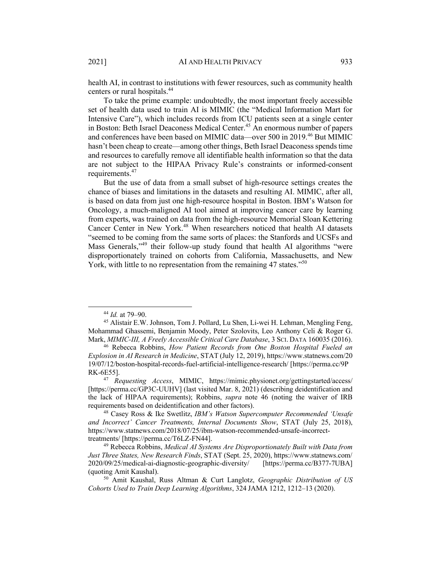health AI, in contrast to institutions with fewer resources, such as community health centers or rural hospitals.44

To take the prime example: undoubtedly, the most important freely accessible set of health data used to train AI is MIMIC (the "Medical Information Mart for Intensive Care"), which includes records from ICU patients seen at a single center in Boston: Beth Israel Deaconess Medical Center.<sup>45</sup> An enormous number of papers and conferences have been based on MIMIC data—over 500 in 2019.<sup>46</sup> But MIMIC hasn't been cheap to create—among other things, Beth Israel Deaconess spends time and resources to carefully remove all identifiable health information so that the data are not subject to the HIPAA Privacy Rule's constraints or informed-consent requirements.<sup>47</sup>

But the use of data from a small subset of high-resource settings creates the chance of biases and limitations in the datasets and resulting AI. MIMIC, after all, is based on data from just one high-resource hospital in Boston. IBM's Watson for Oncology, a much-maligned AI tool aimed at improving cancer care by learning from experts, was trained on data from the high-resource Memorial Sloan Kettering Cancer Center in New York.<sup>48</sup> When researchers noticed that health AI datasets "seemed to be coming from the same sorts of places: the Stanfords and UCSFs and Mass Generals,"<sup>49</sup> their follow-up study found that health AI algorithms "were disproportionately trained on cohorts from California, Massachusetts, and New York, with little to no representation from the remaining 47 states."<sup>50</sup>

<sup>44</sup> *Id.* at 79–90.

<sup>45</sup> Alistair E.W. Johnson, Tom J. Pollard, Lu Shen, Li-wei H. Lehman, Mengling Feng, Mohammad Ghassemi, Benjamin Moody, Peter Szolovits, Leo Anthony Celi & Roger G. Mark, *MIMIC-III, A Freely Accessible Critical Care Database*, 3 SCI. DATA 160035 (2016).

<sup>46</sup> Rebecca Robbins, *How Patient Records from One Boston Hospital Fueled an Explosion in AI Research in Medicine*, STAT (July 12, 2019), https://www.statnews.com/20 19/07/12/boston-hospital-records-fuel-artificial-intelligence-research/ [https://perma.cc/9P RK-6E55].

<sup>47</sup> *Requesting Access*, MIMIC, https://mimic.physionet.org/gettingstarted/access/ [https://perma.cc/GP3C-UUHV] (last visited Mar. 8, 2021) (describing deidentification and the lack of HIPAA requirements); Robbins, *supra* note 46 (noting the waiver of IRB requirements based on deidentification and other factors).

<sup>48</sup> Casey Ross & Ike Swetlitz, *IBM's Watson Supercomputer Recommended 'Unsafe and Incorrect' Cancer Treatments, Internal Documents Show*, STAT (July 25, 2018), https://www.statnews.com/2018/07/25/ibm-watson-recommended-unsafe-incorrecttreatments/ [https://perma.cc/T6LZ-FN44].

<sup>49</sup> Rebecca Robbins, *Medical AI Systems Are Disproportionately Built with Data from Just Three States, New Research Finds*, STAT (Sept. 25, 2020), https://www.statnews.com/ 2020/09/25/medical-ai-diagnostic-geographic-diversity/ [https://perma.cc/B377-7UBA] (quoting Amit Kaushal).

<sup>50</sup> Amit Kaushal, Russ Altman & Curt Langlotz, *Geographic Distribution of US Cohorts Used to Train Deep Learning Algorithms*, 324 JAMA 1212, 1212–13 (2020).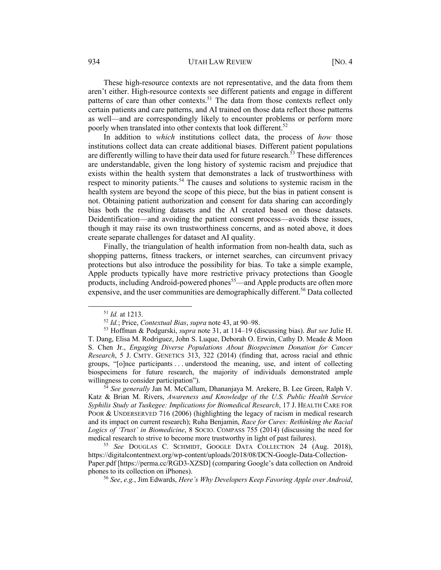These high-resource contexts are not representative, and the data from them aren't either. High-resource contexts see different patients and engage in different patterns of care than other contexts.<sup>51</sup> The data from those contexts reflect only certain patients and care patterns, and AI trained on those data reflect those patterns as well—and are correspondingly likely to encounter problems or perform more poorly when translated into other contexts that look different.<sup>52</sup>

In addition to *which* institutions collect data, the process of *how* those institutions collect data can create additional biases. Different patient populations are differently willing to have their data used for future research.<sup>53</sup> These differences are understandable, given the long history of systemic racism and prejudice that exists within the health system that demonstrates a lack of trustworthiness with respect to minority patients.<sup>54</sup> The causes and solutions to systemic racism in the health system are beyond the scope of this piece, but the bias in patient consent is not. Obtaining patient authorization and consent for data sharing can accordingly bias both the resulting datasets and the AI created based on those datasets. Deidentification—and avoiding the patient consent process—avoids these issues, though it may raise its own trustworthiness concerns, and as noted above, it does create separate challenges for dataset and AI quality.

Finally, the triangulation of health information from non-health data, such as shopping patterns, fitness trackers, or internet searches, can circumvent privacy protections but also introduce the possibility for bias. To take a simple example, Apple products typically have more restrictive privacy protections than Google products, including Android-powered phones<sup>55</sup>—and Apple products are often more expensive, and the user communities are demographically different.<sup>56</sup> Data collected

<sup>51</sup> *Id.* at 1213.

<sup>52</sup> *Id.*; Price, *Contextual Bias*, *supra* note 43, at 90–98.

<sup>53</sup> Hoffman & Podgurski, *supra* note 31, at 114–19 (discussing bias). *But see* Julie H. T. Dang, Elisa M. Rodriguez, John S. Luque, Deborah O. Erwin, Cathy D. Meade & Moon S. Chen Jr., *Engaging Diverse Populations About Biospecimen Donation for Cancer Research*, 5 J. CMTY. GENETICS 313, 322 (2014) (finding that, across racial and ethnic groups, "[o]nce participants . . . understood the meaning, use, and intent of collecting biospecimens for future research, the majority of individuals demonstrated ample willingness to consider participation").

<sup>54</sup> *See generally* Jan M. McCallum, Dhananjaya M. Arekere, B. Lee Green, Ralph V. Katz & Brian M. Rivers, *Awareness and Knowledge of the U.S. Public Health Service Syphilis Study at Tuskegee: Implications for Biomedical Research*, 17 J. HEALTH CARE FOR POOR & UNDERSERVED 716 (2006) (highlighting the legacy of racism in medical research and its impact on current research); Ruha Benjamin, *Race for Cures: Rethinking the Racial Logics of 'Trust' in Biomedicine*, 8 SOCIO. COMPASS 755 (2014) (discussing the need for medical research to strive to become more trustworthy in light of past failures).

<sup>55</sup> *See* DOUGLAS C. SCHMIDT, GOOGLE DATA COLLECTION 24 (Aug. 2018), https://digitalcontentnext.org/wp-content/uploads/2018/08/DCN-Google-Data-Collection-Paper.pdf [https://perma.cc/RGD3-XZSD] (comparing Google's data collection on Android phones to its collection on iPhones).

<sup>56</sup> *See*, *e.g.*, Jim Edwards, *Here's Why Developers Keep Favoring Apple over Android*,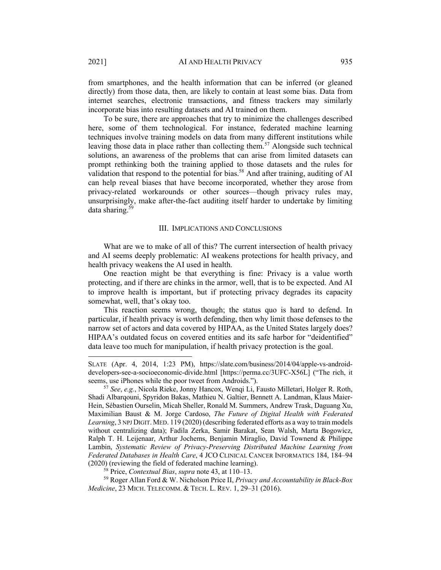from smartphones, and the health information that can be inferred (or gleaned directly) from those data, then, are likely to contain at least some bias. Data from internet searches, electronic transactions, and fitness trackers may similarly incorporate bias into resulting datasets and AI trained on them.

To be sure, there are approaches that try to minimize the challenges described here, some of them technological. For instance, federated machine learning techniques involve training models on data from many different institutions while leaving those data in place rather than collecting them.<sup>57</sup> Alongside such technical solutions, an awareness of the problems that can arise from limited datasets can prompt rethinking both the training applied to those datasets and the rules for validation that respond to the potential for bias.<sup>58</sup> And after training, auditing of AI can help reveal biases that have become incorporated, whether they arose from privacy-related workarounds or other sources—though privacy rules may, unsurprisingly, make after-the-fact auditing itself harder to undertake by limiting data sharing.59

#### III. IMPLICATIONS AND CONCLUSIONS

What are we to make of all of this? The current intersection of health privacy and AI seems deeply problematic: AI weakens protections for health privacy, and health privacy weakens the AI used in health.

One reaction might be that everything is fine: Privacy is a value worth protecting, and if there are chinks in the armor, well, that is to be expected. And AI to improve health is important, but if protecting privacy degrades its capacity somewhat, well, that's okay too.

This reaction seems wrong, though; the status quo is hard to defend. In particular, if health privacy is worth defending, then why limit those defenses to the narrow set of actors and data covered by HIPAA, as the United States largely does? HIPAA's outdated focus on covered entities and its safe harbor for "deidentified" data leave too much for manipulation, if health privacy protection is the goal.

SLATE (Apr. 4, 2014, 1:23 PM), https://slate.com/business/2014/04/apple-vs-androiddevelopers-see-a-socioeconomic-divide.html [https://perma.cc/3UFC-X56L] ("The rich, it seems, use iPhones while the poor tweet from Androids.").

<sup>57</sup> *See*, *e.g.*, Nicola Rieke, Jonny Hancox, Wenqi Li, Fausto Milletarì, Holger R. Roth, Shadi Albarqouni, Spyridon Bakas, Mathieu N. Galtier, Bennett A. Landman, Klaus Maier-Hein, Sébastien Ourselin, Micah Sheller, Ronald M. Summers, Andrew Trask, Daguang Xu, Maximilian Baust & M. Jorge Cardoso, *The Future of Digital Health with Federated*  Learning, 3 NPJ DIGIT. MED. 119 (2020) (describing federated efforts as a way to train models without centralizing data); Fadila Zerka, Samir Barakat, Sean Walsh, Marta Bogowicz, Ralph T. H. Leijenaar, Arthur Jochems, Benjamin Miraglio, David Townend & Philippe Lambin, *Systematic Review of Privacy-Preserving Distributed Machine Learning from Federated Databases in Health Care*, 4 JCO CLINICAL CANCER INFORMATICS 184, 184–94 (2020) (reviewing the field of federated machine learning).

<sup>58</sup> Price, *Contextual Bias*, *supra* note 43, at 110–13.

<sup>59</sup> Roger Allan Ford & W. Nicholson Price II, *Privacy and Accountability in Black-Box Medicine*, 23 MICH. TELECOMM. & TECH. L. REV. 1, 29–31 (2016).